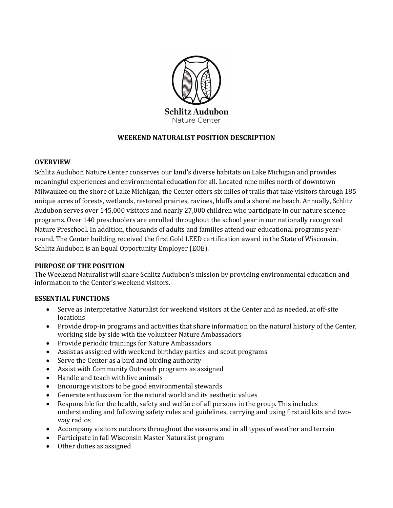

# **WEEKEND NATURALIST POSITION DESCRIPTION**

### **OVERVIEW**

Schlitz Audubon Nature Center conserves our land's diverse habitats on Lake Michigan and provides meaningful experiences and environmental education for all. Located nine miles north of downtown Milwaukee on the shore of Lake Michigan, the Center offers six miles of trails that take visitors through 185 unique acres of forests, wetlands, restored prairies, ravines, bluffs and a shoreline beach. Annually, Schlitz Audubon serves over 145,000 visitors and nearly 27,000 children who participate in our nature science programs. Over 140 preschoolers are enrolled throughout the school year in our nationally recognized Nature Preschool. In addition, thousands of adults and families attend our educational programs yearround. The Center building received the first Gold LEED certification award in the State of Wisconsin. Schlitz Audubon is an Equal Opportunity Employer (EOE).

# **PURPOSE OF THE POSITION**

The Weekend Naturalist will share Schlitz Audubon's mission by providing environmental education and information to the Center's weekend visitors.

# **ESSENTIAL FUNCTIONS**

- Serve as Interpretative Naturalist for weekend visitors at the Center and as needed, at off-site locations
- Provide drop-in programs and activities that share information on the natural history of the Center, working side by side with the volunteer Nature Ambassadors
- Provide periodic trainings for Nature Ambassadors
- Assist as assigned with weekend birthday parties and scout programs
- Serve the Center as a bird and birding authority
- Assist with Community Outreach programs as assigned
- Handle and teach with live animals
- Encourage visitors to be good environmental stewards
- Generate enthusiasm for the natural world and its aesthetic values
- Responsible for the health, safety and welfare of all persons in the group. This includes understanding and following safety rules and guidelines, carrying and using first aid kits and twoway radios
- Accompany visitors outdoors throughout the seasons and in all types of weather and terrain
- Participate in fall Wisconsin Master Naturalist program
- Other duties as assigned